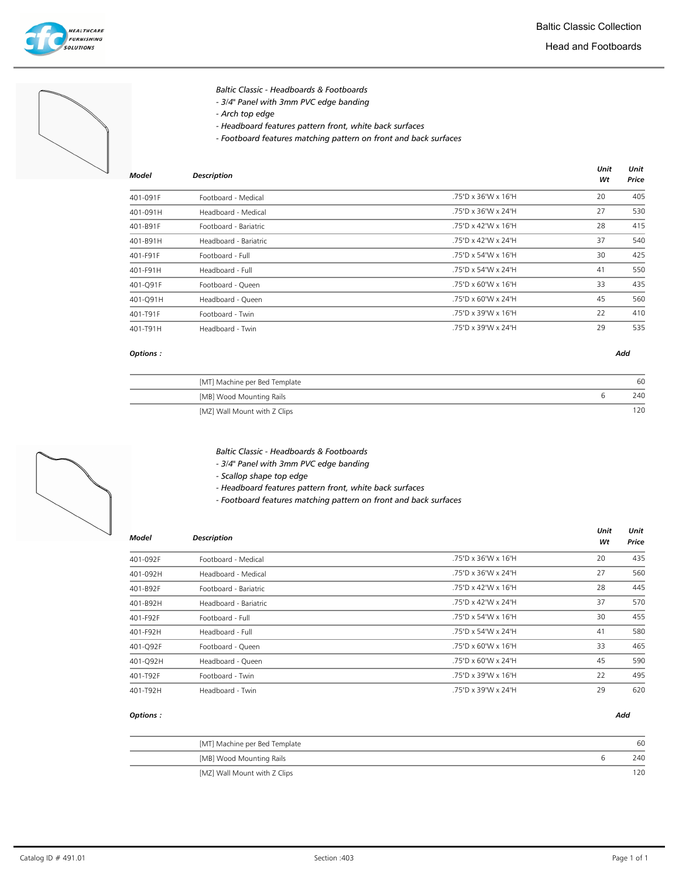



- Baltic Classic Headboards & Footboards
- 3/4" Panel with 3mm PVC edge banding
- Arch top edge
- Headboard features pattern front, white back surfaces
- Footboard features matching pattern on front and back surfaces

| Model    | <b>Description</b>    |                     | Unit<br>Wt | Unit<br>Price |
|----------|-----------------------|---------------------|------------|---------------|
| 401-091F | Footboard - Medical   | .75"D x 36"W x 16"H | 20         | 405           |
| 401-091H | Headboard - Medical   | .75"D x 36"W x 24"H | 27         | 530           |
| 401-B91F | Footboard - Bariatric | .75"D x 42"W x 16"H | 28         | 415           |
| 401-B91H | Headboard - Bariatric | .75"D x 42"W x 24"H | 37         | 540           |
| 401-F91F | Footboard - Full      | .75"D x 54"W x 16"H | 30         | 425           |
| 401-F91H | Headboard - Full      | .75"D x 54"W x 24"H | 41         | 550           |
| 401-Q91F | Footboard - Queen     | .75"D x 60"W x 16"H | 33         | 435           |
| 401-Q91H | Headboard - Queen     | .75"D x 60"W x 24"H | 45         | 560           |
| 401-T91F | Footboard - Twin      | .75"D x 39"W x 16"H | 22         | 410           |
| 401-T91H | Headboard - Twin      | .75"D x 39"W x 24"H | 29         | 535           |

## Options : Add

| [MT] Machine per Bed Template | 60  |
|-------------------------------|-----|
| [MB] Wood Mounting Rails      | 240 |
| [MZ] Wall Mount with Z Clips  |     |

Baltic Classic - Headboards & Footboards

- 3/4" Panel with 3mm PVC edge banding
- Scallop shape top edge
- Headboard features pattern front, white back surfaces
- Footboard features matching pattern on front and back surfaces

| Model    | <b>Description</b>    |                     | Unit<br>Wt | Unit<br>Price |
|----------|-----------------------|---------------------|------------|---------------|
| 401-092F | Footboard - Medical   | .75"D x 36"W x 16"H | 20         | 435           |
| 401-092H | Headboard - Medical   | .75"D x 36"W x 24"H | 27         | 560           |
| 401-B92F | Footboard - Bariatric | .75"D x 42"W x 16"H | 28         | 445           |
| 401-B92H | Headboard - Bariatric | .75"D x 42"W x 24"H | 37         | 570           |
| 401-F92F | Footboard - Full      | .75"D x 54"W x 16"H | 30         | 455           |
| 401-F92H | Headboard - Full      | .75"D x 54"W x 24"H | 41         | 580           |
| 401-Q92F | Footboard - Queen     | .75"D x 60"W x 16"H | 33         | 465           |
| 401-Q92H | Headboard - Queen     | .75"D x 60"W x 24"H | 45         | 590           |
| 401-T92F | Footboard - Twin      | .75"D x 39"W x 16"H | 22         | 495           |
| 401-T92H | Headboard - Twin      | .75"D x 39"W x 24"H | 29         | 620           |

| [MT] Machine per Bed Template | 60  |
|-------------------------------|-----|
| [MB] Wood Mounting Rails      | 240 |
| [MZ] Wall Mount with Z Clips  | 120 |

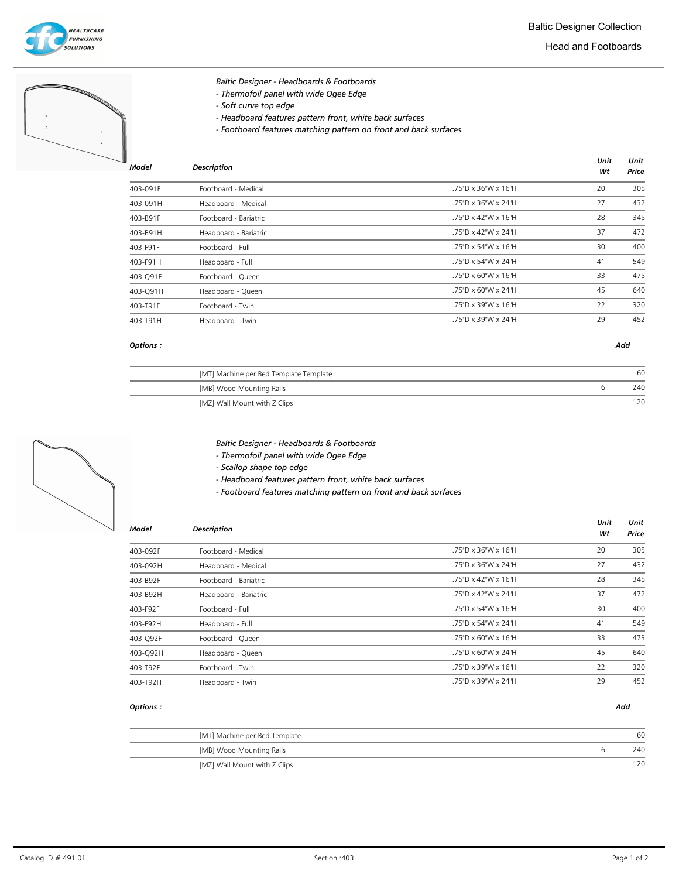



| <b>DESCRIPTION</b>    |                     | Wt | Price |
|-----------------------|---------------------|----|-------|
| Footboard - Medical   | .75"D x 36"W x 16"H | 20 | 305   |
| Headboard - Medical   | .75"D x 36"W x 24"H | 27 | 432   |
| Footboard - Bariatric | .75"D x 42"W x 16"H | 28 | 345   |
| Headboard - Bariatric | .75"D x 42"W x 24"H | 37 | 472   |
| Footboard - Full      | .75"D x 54"W x 16"H | 30 | 400   |
| Headboard - Full      | .75"D x 54"W x 24"H | 41 | 549   |
| Footboard - Queen     | .75"D x 60"W x 16"H | 33 | 475   |
| Headboard - Queen     | .75"D x 60"W x 24"H | 45 | 640   |
| Footboard - Twin      | .75"D x 39"W x 16"H | 22 | 320   |
| Headboard - Twin      | .75"D x 39"W x 24"H | 29 | 452   |
|                       |                     |    |       |

## Options : Add

| [MT] Machine per Bed Template Template | 60  |
|----------------------------------------|-----|
| [MB] Wood Mounting Rails               | 240 |
| [MZ] Wall Mount with Z Clips           |     |



- Thermofoil panel with wide Ogee Edge
- Scallop shape top edge
- Headboard features pattern front, white back surfaces
- Footboard features matching pattern on front and back surfaces

| Model    | <b>Description</b>    |                     | Unit<br>Wt | Unit<br>Price |
|----------|-----------------------|---------------------|------------|---------------|
| 403-092F | Footboard - Medical   | .75"D x 36"W x 16"H | 20         | 305           |
| 403-092H | Headboard - Medical   | .75"D x 36"W x 24"H | 27         | 432           |
| 403-B92F | Footboard - Bariatric | .75"D x 42"W x 16"H | 28         | 345           |
| 403-B92H | Headboard - Bariatric | .75"D x 42"W x 24"H | 37         | 472           |
| 403-F92F | Footboard - Full      | .75"D x 54"W x 16"H | 30         | 400           |
| 403-F92H | Headboard - Full      | .75"D x 54"W x 24"H | 41         | 549           |
| 403-Q92F | Footboard - Queen     | .75"D x 60"W x 16"H | 33         | 473           |
| 403-Q92H | Headboard - Queen     | .75"D x 60"W x 24"H | 45         | 640           |
| 403-T92F | Footboard - Twin      | .75"D x 39"W x 16"H | 22         | 320           |
| 403-T92H | Headboard - Twin      | .75"D x 39"W x 24"H | 29         | 452           |

| [MT] Machine per Bed Template | 60  |
|-------------------------------|-----|
| [MB] Wood Mounting Rails      | 240 |
| [MZ] Wall Mount with Z Clips  | 120 |
|                               |     |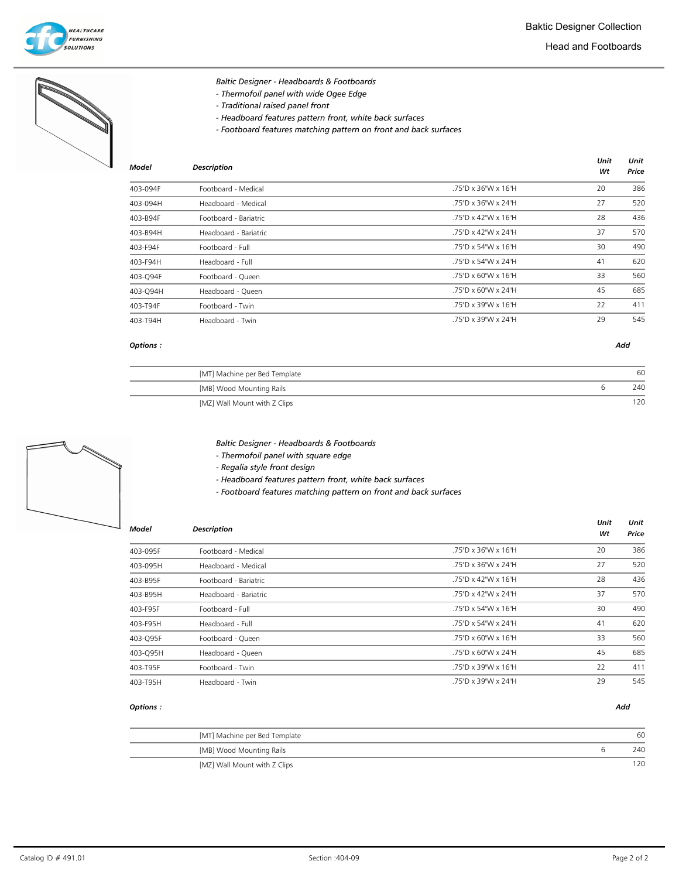

|              | Baltic Designer - Headboards & Footboards<br>- Thermofoil panel with wide Ogee Edge<br>- Traditional raised panel front<br>- Headboard features pattern front, white back surfaces<br>- Footboard features matching pattern on front and back surfaces |                     |            |               |
|--------------|--------------------------------------------------------------------------------------------------------------------------------------------------------------------------------------------------------------------------------------------------------|---------------------|------------|---------------|
| <b>Model</b> | <b>Description</b>                                                                                                                                                                                                                                     |                     | Unit<br>Wt | Unit<br>Price |
| 403-094F     | Footboard - Medical                                                                                                                                                                                                                                    | .75"D x 36"W x 16"H | 20         | 386           |
| 403-094H     | Headboard - Medical                                                                                                                                                                                                                                    | .75"D x 36"W x 24"H | 27         | 520           |
| 403-B94F     | Footboard - Bariatric                                                                                                                                                                                                                                  | .75"D x 42"W x 16"H | 28         | 436           |
| 403-B94H     | Headboard - Bariatric                                                                                                                                                                                                                                  | .75"D x 42"W x 24"H | 37         | 570           |
| 403-F94F     | Footboard - Full                                                                                                                                                                                                                                       | .75"D x 54"W x 16"H | 30         | 490           |
| 403-F94H     | Headboard - Full                                                                                                                                                                                                                                       | .75"D x 54"W x 24"H | 41         | 620           |

| 403-Q94F | Footboard - Oueen | .75"D x 60"W x 16"H | 33 | 560 |
|----------|-------------------|---------------------|----|-----|
| 403-O94H | Headboard - Queen | .75"D x 60"W x 24"H | 45 | 685 |
| 403-T94F | Footboard - Twin  | .75"D x 39"W x 16"H | 22 | 411 |
| 403-T94H | Headboard - Twin  | .75"D x 39"W x 24"H | 29 | 545 |

# Options : Add

| [MT] Machine per Bed Template | 60  |
|-------------------------------|-----|
| [MB] Wood Mounting Rails      | 240 |
| [MZ] Wall Mount with Z Clips  |     |



- Baltic Designer Headboards & Footboards
- Thermofoil panel with square edge
- Regalia style front design

- Headboard features pattern front, white back surfaces

- Footboard features matching pattern on front and back surfaces

| Model    | <b>Description</b>    |                     | Unit<br>Wt | Unit<br>Price |
|----------|-----------------------|---------------------|------------|---------------|
| 403-095F | Footboard - Medical   | .75"D x 36"W x 16"H | 20         | 386           |
| 403-095H | Headboard - Medical   | .75"D x 36"W x 24"H | 27         | 520           |
| 403-B95F | Footboard - Bariatric | .75"D x 42"W x 16"H | 28         | 436           |
| 403-B95H | Headboard - Bariatric | .75"D x 42"W x 24"H | 37         | 570           |
| 403-F95F | Footboard - Full      | .75"D x 54"W x 16"H | 30         | 490           |
| 403-F95H | Headboard - Full      | .75"D x 54"W x 24"H | 41         | 620           |
| 403-Q95F | Footboard - Queen     | .75"D x 60"W x 16"H | 33         | 560           |
| 403-Q95H | Headboard - Queen     | .75"D x 60"W x 24"H | 45         | 685           |
| 403-T95F | Footboard - Twin      | .75"D x 39"W x 16"H | 22         | 411           |
| 403-T95H | Headboard - Twin      | .75"D x 39"W x 24"H | 29         | 545           |

| [MT] Machine per Bed Template | 60  |
|-------------------------------|-----|
| [MB] Wood Mounting Rails      | 240 |
| [MZ] Wall Mount with Z Clips  | 120 |
|                               |     |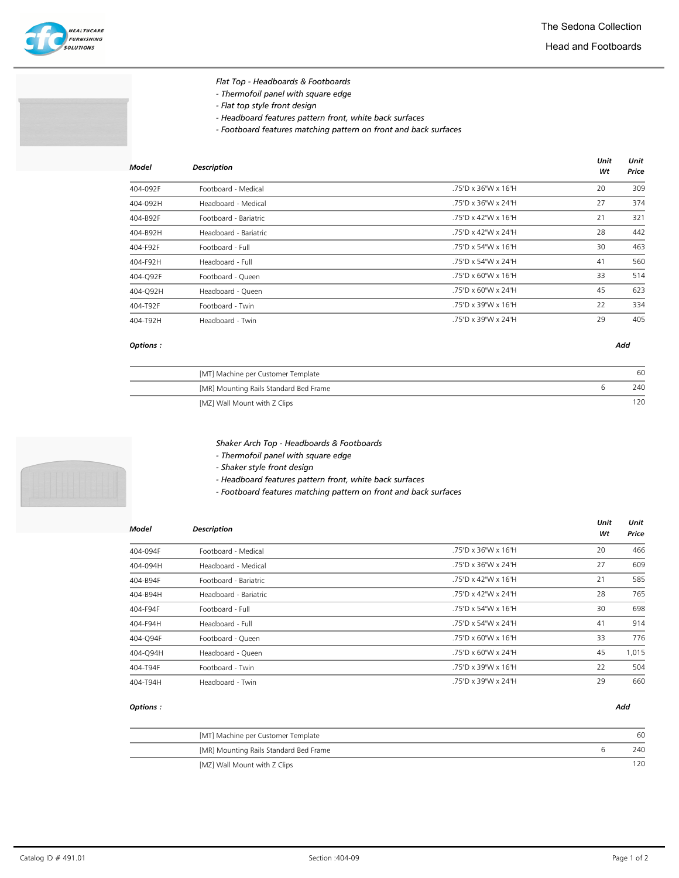

- Thermofoil panel with square edge
- Flat top style front design
- Headboard features pattern front, white back surfaces
- Footboard features matching pattern on front and back surfaces

| Model    | <b>Description</b>    |                     | Unit<br>Wt | Unit<br>Price |
|----------|-----------------------|---------------------|------------|---------------|
| 404-092F | Footboard - Medical   | .75"D x 36"W x 16"H | 20         | 309           |
| 404-092H | Headboard - Medical   | .75"D x 36"W x 24"H | 27         | 374           |
| 404-B92F | Footboard - Bariatric | .75"D x 42"W x 16"H | 21         | 321           |
| 404-B92H | Headboard - Bariatric | .75"D x 42"W x 24"H | 28         | 442           |
| 404-F92F | Footboard - Full      | .75"D x 54"W x 16"H | 30         | 463           |
| 404-F92H | Headboard - Full      | .75"D x 54"W x 24"H | 41         | 560           |
| 404-O92F | Footboard - Queen     | .75"D x 60"W x 16"H | 33         | 514           |
| 404-Q92H | Headboard - Queen     | .75"D x 60"W x 24"H | 45         | 623           |
| 404-T92F | Footboard - Twin      | .75"D x 39"W x 16"H | 22         | 334           |
| 404-T92H | Headboard - Twin      | .75"D x 39"W x 24"H | 29         | 405           |
|          |                       |                     |            |               |

## Options : Add

| [MT] Machine per Customer Template     | 60  |
|----------------------------------------|-----|
| [MR] Mounting Rails Standard Bed Frame | 240 |
| [MZ] Wall Mount with Z Clips           |     |

- Shaker Arch Top Headboards & Footboards
- Thermofoil panel with square edge
- Shaker style front design

- Headboard features pattern front, white back surfaces

- Footboard features matching pattern on front and back surfaces

| <b>Model</b> | <b>Description</b>    |                     | Unit | Unit  |
|--------------|-----------------------|---------------------|------|-------|
|              |                       |                     | Wt   | Price |
| 404-094F     | Footboard - Medical   | .75"D x 36"W x 16"H | 20   | 466   |
| 404-094H     | Headboard - Medical   | .75"D x 36"W x 24"H | 27   | 609   |
| 404-B94F     | Footboard - Bariatric | .75"D x 42"W x 16"H | 21   | 585   |
| 404-B94H     | Headboard - Bariatric | .75"D x 42"W x 24"H | 28   | 765   |
| 404-F94F     | Footboard - Full      | .75"D x 54"W x 16"H | 30   | 698   |
| 404-F94H     | Headboard - Full      | .75"D x 54"W x 24"H | 41   | 914   |
| 404-Q94F     | Footboard - Queen     | .75"D x 60"W x 16"H | 33   | 776   |
| 404-Q94H     | Headboard - Queen     | .75"D x 60"W x 24"H | 45   | 1,015 |
| 404-T94F     | Footboard - Twin      | .75"D x 39"W x 16"H | 22   | 504   |
| 404-T94H     | Headboard - Twin      | .75"D x 39"W x 24"H | 29   | 660   |

| [MT] Machine per Customer Template<br>[MR] Mounting Rails Standard Bed Frame |                              |     |
|------------------------------------------------------------------------------|------------------------------|-----|
|                                                                              |                              | 60  |
|                                                                              |                              | 240 |
|                                                                              | [MZ] Wall Mount with Z Clips | 120 |

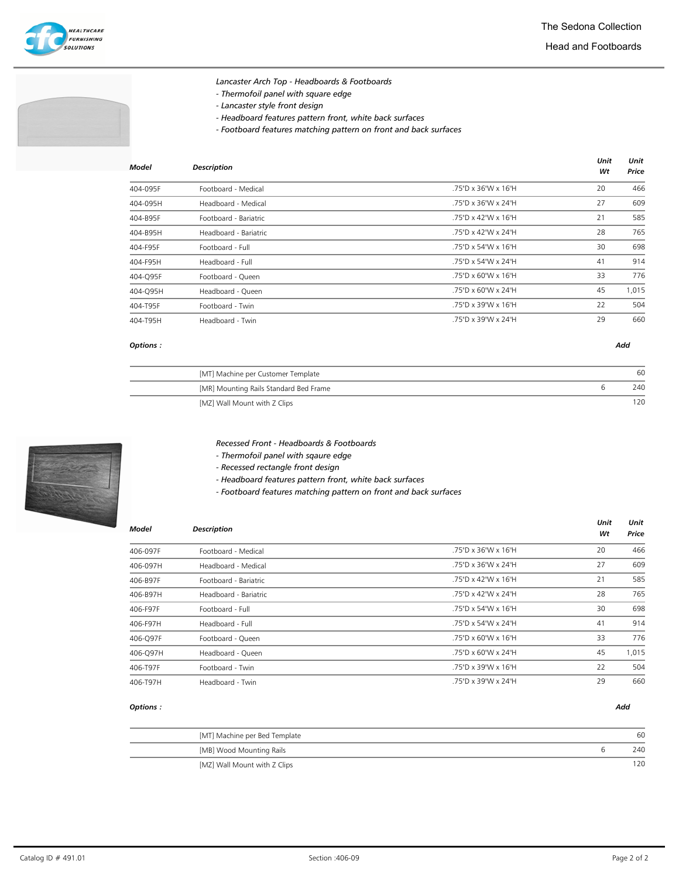

- Lancaster Arch Top Headboards & Footboards
- Thermofoil panel with square edge
- Lancaster style front design
- Headboard features pattern front, white back surfaces
- Footboard features matching pattern on front and back surfaces

| Model    | <b>Description</b>    |                     | Unit<br>Wt | Unit<br>Price |
|----------|-----------------------|---------------------|------------|---------------|
| 404-095F | Footboard - Medical   | .75"D x 36"W x 16"H | 20         | 466           |
| 404-095H | Headboard - Medical   | .75"D x 36"W x 24"H | 27         | 609           |
| 404-B95F | Footboard - Bariatric | .75"D x 42"W x 16"H | 21         | 585           |
| 404-B95H | Headboard - Bariatric | .75"D x 42"W x 24"H | 28         | 765           |
| 404-F95F | Footboard - Full      | .75"D x 54"W x 16"H | 30         | 698           |
| 404-F95H | Headboard - Full      | .75"D x 54"W x 24"H | 41         | 914           |
| 404-O95F | Footboard - Queen     | .75"D x 60"W x 16"H | 33         | 776           |
| 404-Q95H | Headboard - Queen     | .75"D x 60"W x 24"H | 45         | 1,015         |
| 404-T95F | Footboard - Twin      | .75"D x 39"W x 16"H | 22         | 504           |
| 404-T95H | Headboard - Twin      | .75"D x 39"W x 24"H | 29         | 660           |
|          |                       |                     |            |               |

### Options : Add

| [MT] Machine per Customer Template     | 60  |
|----------------------------------------|-----|
| [MR] Mounting Rails Standard Bed Frame | 240 |
| [MZ] Wall Mount with Z Clips           |     |

Recessed Front - Headboards & Footboards

- Thermofoil panel with sqaure edge

- Recessed rectangle front design

- Headboard features pattern front, white back surfaces

- Footboard features matching pattern on front and back surfaces

| Model    | <b>Description</b>    |                     | Unit<br>Wt | Unit<br>Price |
|----------|-----------------------|---------------------|------------|---------------|
| 406-097F | Footboard - Medical   | .75"D x 36"W x 16"H | 20         | 466           |
| 406-097H | Headboard - Medical   | .75"D x 36"W x 24"H | 27         | 609           |
| 406-B97F | Footboard - Bariatric | .75"D x 42"W x 16"H | 21         | 585           |
| 406-B97H | Headboard - Bariatric | .75"D x 42"W x 24"H | 28         | 765           |
| 406-F97F | Footboard - Full      | .75"D x 54"W x 16"H | 30         | 698           |
| 406-F97H | Headboard - Full      | .75"D x 54"W x 24"H | 41         | 914           |
| 406-Q97F | Footboard - Queen     | .75"D x 60"W x 16"H | 33         | 776           |
| 406-Q97H | Headboard - Queen     | .75"D x 60"W x 24"H | 45         | 1,015         |
| 406-T97F | Footboard - Twin      | .75"D x 39"W x 16"H | 22         | 504           |
| 406-T97H | Headboard - Twin      | .75"D x 39"W x 24"H | 29         | 660           |

| [MT] Machine per Bed Template | 60  |
|-------------------------------|-----|
| [MB] Wood Mounting Rails      | 240 |
| [MZ] Wall Mount with Z Clips  | 120 |